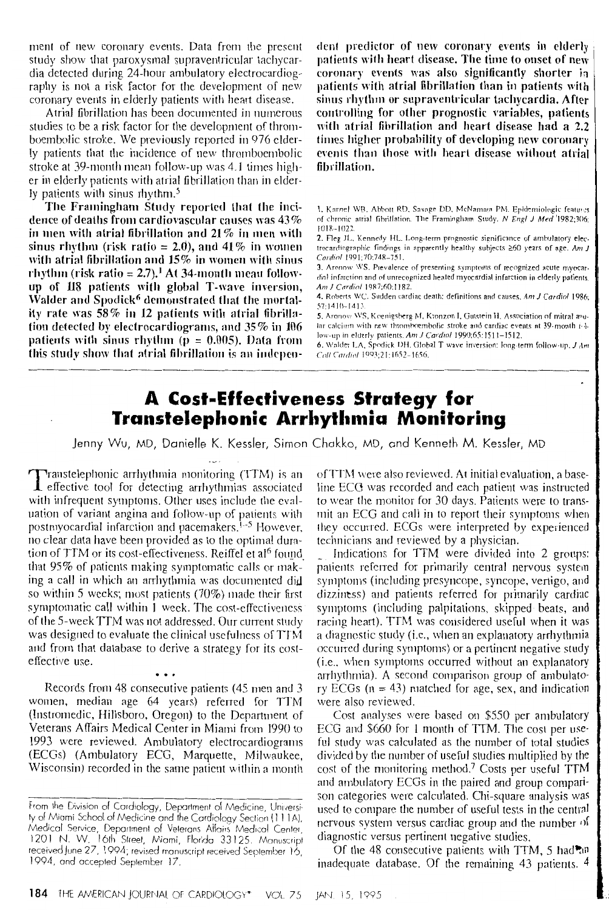ment of new coronary events. Data from the present study show that paroxysmal supraventricular tachycardia detected during 24-hour ambulatory electrocardiography is not a risk factor for the development of new coronary events in elderly patients with heart disease.

Atrial fibrillation has been documented in numerous studies to be a risk factor for the development of thromboembolic stroke. We previously reported in 976 elderly patients that the incidence of new thromboembolic stroke at 39-month mean follow-up was 4.1 times higher in elderly patients with atrial fibrillation than in elderly patients with sinus rhythm.<sup>5</sup>

The Framingham Study reported that the incidence of deaths from cardiovascular causes was  $43\%$ in men with atrial fibrillation and  $21\%$  in men with sinus rhythm (risk ratio = 2.0), and 41% in women with atrial fibrillation and  $15\%$  in women with sinus rhythm (risk ratio = 2.7).<sup>1</sup> At 34-month mean followup of 118 patients with global T-wave inversion, Walder and Spodick<sup>6</sup> demonstrated that the mortality rate was 58% in 12 patients with atrial fibrillation detected by electrocardiograms, and 35% in 106 patients with sinus rhythm ( $p = 0.005$ ). Data from this study show that atrial fibrillation is an independent predictor of new coronary events in elderly patients with heart disease. The time to onset of new coronary events was also significantly shorter in patients with atrial fibrillation than in patients with sinus rhythm or supraventricular tachycardia. After controlling for other prognostic variables, patients with atrial fibrillation and heart disease had a 2.2 times higher probability of developing new coronary events than those with heart disease without atrial fibrillation.

1. Kannel WB, Abbott RD, Savage DD, McNamara PM. Epidemiologic features of chronic atrial fibrillation. The Framingham Study. N Engl J Med 1982;306;  $1018 - 1022$ 

2. Fleg JL, Kennedy HL. Long-term prognostic significance of ambulatory electrocardiographic findings in apparently healthy subjects  $\geq 60$  years of age. Am J Cardiol 1991;70:748-751.

3. Aronow WS. Prevalence of presenting symptoms of recognized acute myocardial infarction and of unrecognized healed myocardial infarction in elderly patients. Am J Cardiol 1987;60:1182.

4. Roberts WC. Sudden cardiac death: definitions and causes. Am J Cardiol 1986; 57:1410-1413

5. Aronow WS, Koenigsberg M, Kronzon I, Gutstein H. Association of mitral anular calcium with new thromboembolic stroke and cardiac events at 39-month i-4low-up in elderly patients. Am J Cardiol 1990;65:1511-1512.

6. Walder LA, Spodick DH. Global T wave inversion: long-term follow-up, J Am Coll Cardiol 1993;21:1652-1656.

## **A Cost-Effectiveness Strategy for Transtelephonic Arrhythmia Monitoring**

Jenny Wu, MD, Danielle K. Kessler, Simon Chakko, MD, and Kenneth M. Kessler, MD

Transtelephonic arrhythmia monitoring (TTM) is an I effective tool for detecting arrhythmias associated with infrequent symptoms. Other uses include the evaluation of variant angina and follow-up of patients with postmyocardial infarction and pacemakers.<sup>1-5</sup> However, no clear data have been provided as to the optimal duration of TTM or its cost-effectiveness. Reiffel et al<sup>6</sup> found that 95% of patients making symptomatic calls or making a call in which an arrhythmia was documented did so within 5 weeks; most patients (70%) made their first symptomatic call within 1 week. The cost-effectiveness of the 5-week TTM was not addressed. Our current study was designed to evaluate the clinical usefulness of TTM and from that database to derive a strategy for its costeffective use.

Records from 48 consecutive patients (45 men and 3 women, median age 64 years) referred for TTM (Instromedic, Hillsboro, Oregon) to the Department of Veterans Affairs Medical Center in Miami from 1990 to 1993 were reviewed. Ambulatory electrocardiograms (ECGs) (Ambulatory ECG, Marquette, Milwaukee, Wisconsin) recorded in the same patient within a month

of TTM were also reviewed. At initial evaluation, a baseline ECG was recorded and each patient was instructed to wear the monitor for 30 days. Patients were to transmit an ECG and call in to report their symptoms when they occurred. ECGs were interpreted by experienced technicians and reviewed by a physician.

Indications for TTM were divided into 2 groups: patients referred for primarily central nervous system symptoms (including presyncope, syncope, vertigo, and dizziness) and patients referred for primarily cardiac symptoms (including palpitations, skipped beats, and racing heart). TTM was considered useful when it was a diagnostic study (i.e., when an explanatory arrhythmia occurred during symptoms) or a pertinent negative study (i.e., when symptoms occurred without an explanatory arrhythmia). A second comparison group of ambulatory ECGs ( $n = 43$ ) matched for age, sex, and indication were also reviewed.

Cost analyses were based on \$550 per ambulatory ECG and \$660 for 1 month of TTM. The cost per useful study was calculated as the number of total studies divided by the number of useful studies multiplied by the cost of the monitoring method.<sup>7</sup> Costs per useful TTM and ambulatory ECGs in the paired and group comparison categories were calculated. Chi-square analysis was used to compare the number of useful tests in the central nervous system versus cardiac group and the number of diagnostic versus pertinent negative studies.

Of the 48 consecutive patients with TTM, 5 had an inadequate database. Of the remaining 43 patients, 4

From the Division of Cardiology, Department of Medicine, University of Miami School of Medicine and the Cardiology Section (111A), Medical Service, Department of Veterans Affairs Medical Center, 1201 N. W. 16th Street, Miami, Florida 33125. Manuscript received June 27, 1994; revised manuscript received September 16, 1994, and accepted September 17.